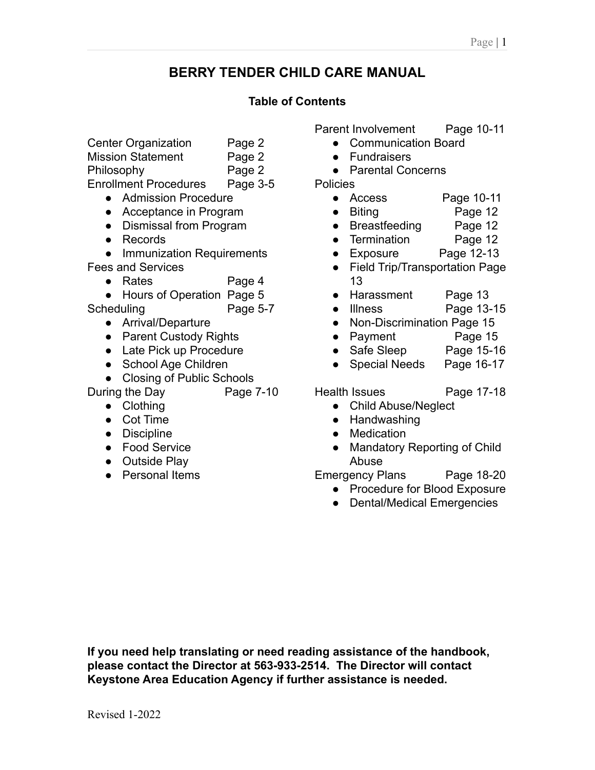# **BERRY TENDER CHILD CARE MANUAL**

# **Table of Contents**

Center Organization Page 2

Mission Statement Page 2

Philosophy Page 2

Enrollment Procedures Page 3-5

- Admission Procedure
- Acceptance in Program
- Dismissal from Program
- Records

● Immunization Requirements Fees and Services

- Rates Page 4
- Hours of Operation Page 5

Scheduling Page 5-7

- Arrival/Departure
- Parent Custody Rights
- Late Pick up Procedure
- School Age Children
- Closing of Public Schools

During the Day Page 7-10

- Clothing
- Cot Time
- Discipline
- Food Service
- Outside Play
- Personal Items

Parent Involvement Page 10-11

- Communication Board
- Fundraisers
- Parental Concerns

**Policies** 

- Access Page 10-11
- Biting Page 12
- Breastfeeding Page 12
- Termination Page 12
- Exposure Page 12-13
- Field Trip/Transportation Page 13
- Harassment Page 13
- Illness Page 13-15
- Non-Discrimination Page 15
- Payment Page 15
- Safe Sleep Page 15-16
- Special Needs Page 16-17

Health Issues Page 17-18

- 
- Child Abuse/Neglect
- Handwashing
- **Medication**
- Mandatory Reporting of Child Abuse

Emergency Plans Page 18-20

- Procedure for Blood Exposure
- Dental/Medical Emergencies

**If you need help translating or need reading assistance of the handbook, please contact the Director at 563-933-2514. The Director will contact Keystone Area Education Agency if further assistance is needed.**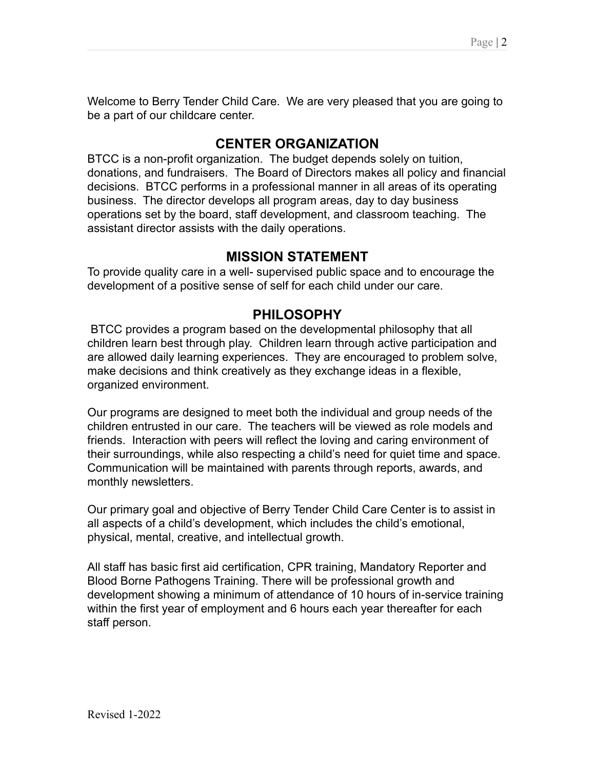Welcome to Berry Tender Child Care. We are very pleased that you are going to be a part of our childcare center.

# **CENTER ORGANIZATION**

BTCC is a non-profit organization. The budget depends solely on tuition, donations, and fundraisers. The Board of Directors makes all policy and financial decisions. BTCC performs in a professional manner in all areas of its operating business. The director develops all program areas, day to day business operations set by the board, staff development, and classroom teaching. The assistant director assists with the daily operations.

# **MISSION STATEMENT**

To provide quality care in a well- supervised public space and to encourage the development of a positive sense of self for each child under our care.

# **PHILOSOPHY**

BTCC provides a program based on the developmental philosophy that all children learn best through play. Children learn through active participation and are allowed daily learning experiences. They are encouraged to problem solve, make decisions and think creatively as they exchange ideas in a flexible, organized environment.

Our programs are designed to meet both the individual and group needs of the children entrusted in our care. The teachers will be viewed as role models and friends. Interaction with peers will reflect the loving and caring environment of their surroundings, while also respecting a child's need for quiet time and space. Communication will be maintained with parents through reports, awards, and monthly newsletters.

Our primary goal and objective of Berry Tender Child Care Center is to assist in all aspects of a child's development, which includes the child's emotional, physical, mental, creative, and intellectual growth.

All staff has basic first aid certification, CPR training, Mandatory Reporter and Blood Borne Pathogens Training. There will be professional growth and development showing a minimum of attendance of 10 hours of in-service training within the first year of employment and 6 hours each year thereafter for each staff person.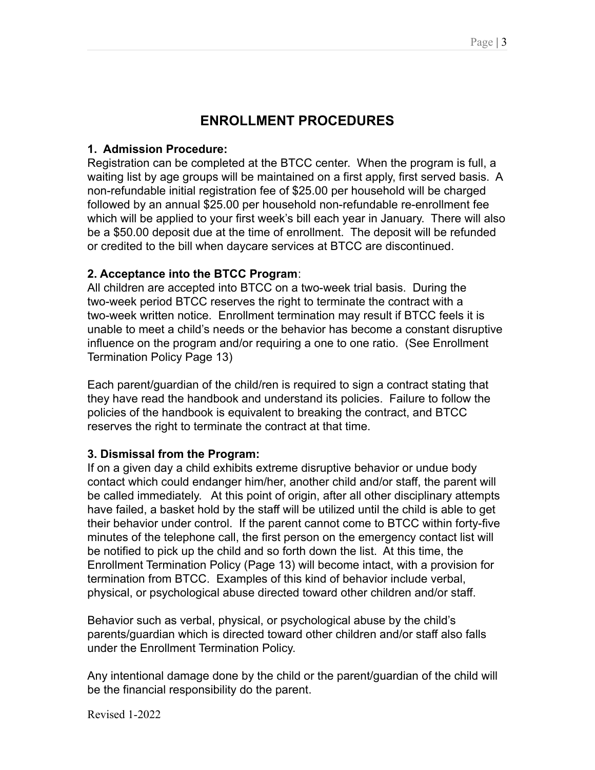# **ENROLLMENT PROCEDURES**

### **1. Admission Procedure:**

Registration can be completed at the BTCC center. When the program is full, a waiting list by age groups will be maintained on a first apply, first served basis. A non-refundable initial registration fee of \$25.00 per household will be charged followed by an annual \$25.00 per household non-refundable re-enrollment fee which will be applied to your first week's bill each year in January. There will also be a \$50.00 deposit due at the time of enrollment. The deposit will be refunded or credited to the bill when daycare services at BTCC are discontinued.

## **2. Acceptance into the BTCC Program**:

All children are accepted into BTCC on a two-week trial basis. During the two-week period BTCC reserves the right to terminate the contract with a two-week written notice. Enrollment termination may result if BTCC feels it is unable to meet a child's needs or the behavior has become a constant disruptive influence on the program and/or requiring a one to one ratio. (See Enrollment Termination Policy Page 13)

Each parent/guardian of the child/ren is required to sign a contract stating that they have read the handbook and understand its policies. Failure to follow the policies of the handbook is equivalent to breaking the contract, and BTCC reserves the right to terminate the contract at that time.

# **3. Dismissal from the Program:**

If on a given day a child exhibits extreme disruptive behavior or undue body contact which could endanger him/her, another child and/or staff, the parent will be called immediately. At this point of origin, after all other disciplinary attempts have failed, a basket hold by the staff will be utilized until the child is able to get their behavior under control. If the parent cannot come to BTCC within forty-five minutes of the telephone call, the first person on the emergency contact list will be notified to pick up the child and so forth down the list. At this time, the Enrollment Termination Policy (Page 13) will become intact, with a provision for termination from BTCC. Examples of this kind of behavior include verbal, physical, or psychological abuse directed toward other children and/or staff.

Behavior such as verbal, physical, or psychological abuse by the child's parents/guardian which is directed toward other children and/or staff also falls under the Enrollment Termination Policy.

Any intentional damage done by the child or the parent/guardian of the child will be the financial responsibility do the parent.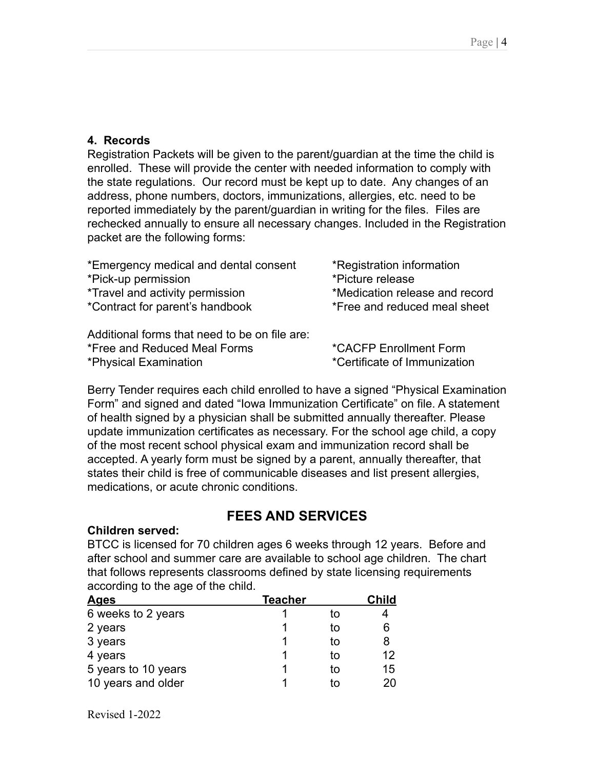### **4. Records**

Registration Packets will be given to the parent/guardian at the time the child is enrolled. These will provide the center with needed information to comply with the state regulations. Our record must be kept up to date. Any changes of an address, phone numbers, doctors, immunizations, allergies, etc. need to be reported immediately by the parent/guardian in writing for the files. Files are rechecked annually to ensure all necessary changes. Included in the Registration packet are the following forms:

| *Emergency medical and dental consent         | *Registration information      |
|-----------------------------------------------|--------------------------------|
| *Pick-up permission                           | *Picture release               |
| <i>*Travel and activity permission</i>        | *Medication release and record |
| *Contract for parent's handbook               | *Free and reduced meal sheet   |
|                                               |                                |
| Additional forms that need to be on file are: |                                |

\*Free and Reduced Meal Forms \*CACFP Enrollment Form

\*Physical Examination \*Certificate of Immunization

Berry Tender requires each child enrolled to have a signed "Physical Examination Form" and signed and dated "Iowa Immunization Certificate" on file. A statement of health signed by a physician shall be submitted annually thereafter. Please update immunization certificates as necessary. For the school age child, a copy of the most recent school physical exam and immunization record shall be accepted. A yearly form must be signed by a parent, annually thereafter, that states their child is free of communicable diseases and list present allergies, medications, or acute chronic conditions.

# **FEES AND SERVICES**

### **Children served:**

BTCC is licensed for 70 children ages 6 weeks through 12 years. Before and after school and summer care are available to school age children. The chart that follows represents classrooms defined by state licensing requirements according to the age of the child.

| <b>Ages</b>         | <b>Teacher</b> |    | <b>Child</b> |
|---------------------|----------------|----|--------------|
| 6 weeks to 2 years  |                | tΟ |              |
| 2 years             |                | tΟ | 6            |
| 3 years             |                | tΟ | 8            |
| 4 years             |                | tο | 12           |
| 5 years to 10 years |                | tΟ | 15           |
| 10 years and older  |                | īΩ | 20           |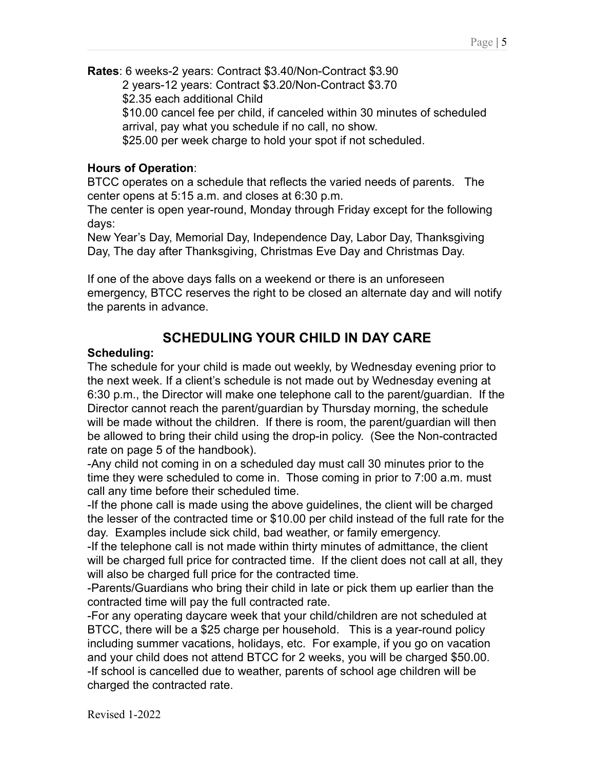**Rates**: 6 weeks-2 years: Contract \$3.40/Non-Contract \$3.90 2 years-12 years: Contract \$3.20/Non-Contract \$3.70 \$2.35 each additional Child \$10.00 cancel fee per child, if canceled within 30 minutes of scheduled arrival, pay what you schedule if no call, no show. \$25.00 per week charge to hold your spot if not scheduled.

## **Hours of Operation**:

BTCC operates on a schedule that reflects the varied needs of parents. The center opens at 5:15 a.m. and closes at 6:30 p.m.

The center is open year-round, Monday through Friday except for the following days:

New Year's Day, Memorial Day, Independence Day, Labor Day, Thanksgiving Day, The day after Thanksgiving, Christmas Eve Day and Christmas Day.

If one of the above days falls on a weekend or there is an unforeseen emergency, BTCC reserves the right to be closed an alternate day and will notify the parents in advance.

# **SCHEDULING YOUR CHILD IN DAY CARE**

## **Scheduling:**

The schedule for your child is made out weekly, by Wednesday evening prior to the next week. If a client's schedule is not made out by Wednesday evening at 6:30 p.m., the Director will make one telephone call to the parent/guardian. If the Director cannot reach the parent/guardian by Thursday morning, the schedule will be made without the children. If there is room, the parent/guardian will then be allowed to bring their child using the drop-in policy. (See the Non-contracted rate on page 5 of the handbook).

-Any child not coming in on a scheduled day must call 30 minutes prior to the time they were scheduled to come in. Those coming in prior to 7:00 a.m. must call any time before their scheduled time.

-If the phone call is made using the above guidelines, the client will be charged the lesser of the contracted time or \$10.00 per child instead of the full rate for the day. Examples include sick child, bad weather, or family emergency.

-If the telephone call is not made within thirty minutes of admittance, the client will be charged full price for contracted time. If the client does not call at all, they will also be charged full price for the contracted time.

-Parents/Guardians who bring their child in late or pick them up earlier than the contracted time will pay the full contracted rate.

-For any operating daycare week that your child/children are not scheduled at BTCC, there will be a \$25 charge per household. This is a year-round policy including summer vacations, holidays, etc. For example, if you go on vacation and your child does not attend BTCC for 2 weeks, you will be charged \$50.00. -If school is cancelled due to weather, parents of school age children will be charged the contracted rate.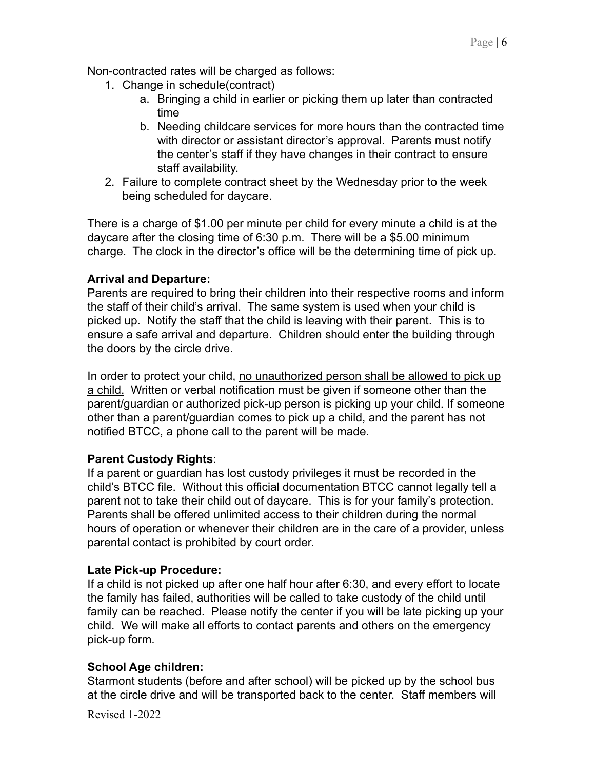Non-contracted rates will be charged as follows:

- 1. Change in schedule(contract)
	- a. Bringing a child in earlier or picking them up later than contracted time
	- b. Needing childcare services for more hours than the contracted time with director or assistant director's approval. Parents must notify the center's staff if they have changes in their contract to ensure staff availability.
- 2. Failure to complete contract sheet by the Wednesday prior to the week being scheduled for daycare.

There is a charge of \$1.00 per minute per child for every minute a child is at the daycare after the closing time of 6:30 p.m. There will be a \$5.00 minimum charge. The clock in the director's office will be the determining time of pick up.

### **Arrival and Departure:**

Parents are required to bring their children into their respective rooms and inform the staff of their child's arrival. The same system is used when your child is picked up. Notify the staff that the child is leaving with their parent. This is to ensure a safe arrival and departure. Children should enter the building through the doors by the circle drive.

In order to protect your child, no unauthorized person shall be allowed to pick up a child. Written or verbal notification must be given if someone other than the parent/guardian or authorized pick-up person is picking up your child. If someone other than a parent/guardian comes to pick up a child, and the parent has not notified BTCC, a phone call to the parent will be made.

### **Parent Custody Rights**:

If a parent or guardian has lost custody privileges it must be recorded in the child's BTCC file. Without this official documentation BTCC cannot legally tell a parent not to take their child out of daycare. This is for your family's protection. Parents shall be offered unlimited access to their children during the normal hours of operation or whenever their children are in the care of a provider, unless parental contact is prohibited by court order.

### **Late Pick-up Procedure:**

If a child is not picked up after one half hour after 6:30, and every effort to locate the family has failed, authorities will be called to take custody of the child until family can be reached. Please notify the center if you will be late picking up your child. We will make all efforts to contact parents and others on the emergency pick-up form.

### **School Age children:**

Starmont students (before and after school) will be picked up by the school bus at the circle drive and will be transported back to the center. Staff members will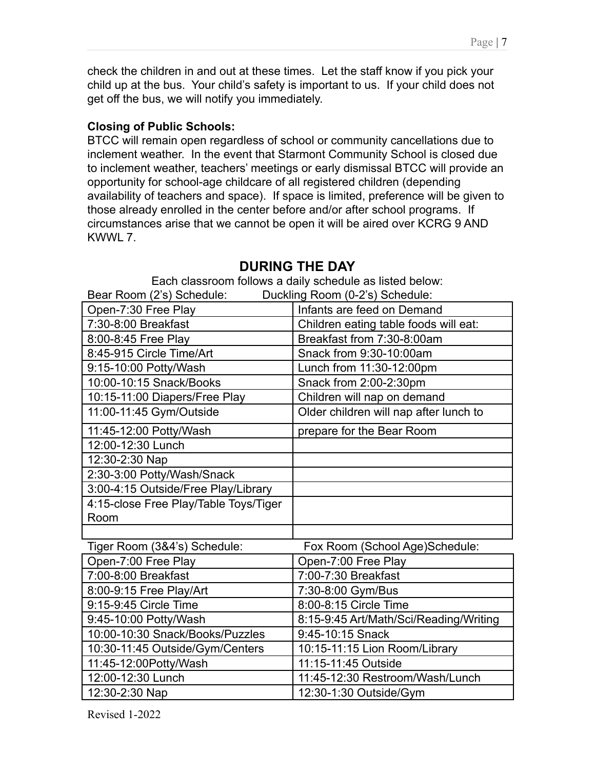check the children in and out at these times. Let the staff know if you pick your child up at the bus. Your child's safety is important to us. If your child does not get off the bus, we will notify you immediately.

## **Closing of Public Schools:**

BTCC will remain open regardless of school or community cancellations due to inclement weather. In the event that Starmont Community School is closed due to inclement weather, teachers' meetings or early dismissal BTCC will provide an opportunity for school-age childcare of all registered children (depending availability of teachers and space). If space is limited, preference will be given to those already enrolled in the center before and/or after school programs. If circumstances arise that we cannot be open it will be aired over KCRG 9 AND KWWL 7.

| Duckling Room (0-2's) Schedule:<br>Bear Room (2's) Schedule: |                                        |  |
|--------------------------------------------------------------|----------------------------------------|--|
| Open-7:30 Free Play                                          | Infants are feed on Demand             |  |
| 7:30-8:00 Breakfast                                          | Children eating table foods will eat:  |  |
| 8:00-8:45 Free Play                                          | Breakfast from 7:30-8:00am             |  |
| 8:45-915 Circle Time/Art                                     | Snack from 9:30-10:00am                |  |
| 9:15-10:00 Potty/Wash                                        | Lunch from 11:30-12:00pm               |  |
| 10:00-10:15 Snack/Books                                      | Snack from 2:00-2:30pm                 |  |
| 10:15-11:00 Diapers/Free Play                                | Children will nap on demand            |  |
| 11:00-11:45 Gym/Outside                                      | Older children will nap after lunch to |  |
| 11:45-12:00 Potty/Wash                                       | prepare for the Bear Room              |  |
| 12:00-12:30 Lunch                                            |                                        |  |
| 12:30-2:30 Nap                                               |                                        |  |
| 2:30-3:00 Potty/Wash/Snack                                   |                                        |  |
| 3:00-4:15 Outside/Free Play/Library                          |                                        |  |
| 4:15-close Free Play/Table Toys/Tiger                        |                                        |  |
| Room                                                         |                                        |  |
|                                                              |                                        |  |
| Tiger Room (3&4's) Schedule:                                 | Fox Room (School Age)Schedule:         |  |
| Open-7:00 Free Play                                          | Open-7:00 Free Play                    |  |
| 7:00-8:00 Breakfast                                          | 7:00-7:30 Breakfast                    |  |
| 8:00-9:15 Free Play/Art                                      | 7:30-8:00 Gym/Bus                      |  |
| 9:15-9:45 Circle Time                                        | 8:00-8:15 Circle Time                  |  |
| 9:45-10:00 Potty/Wash                                        | 8:15-9:45 Art/Math/Sci/Reading/Writing |  |
| 10:00-10:30 Snack/Books/Puzzles                              | 9:45-10:15 Snack                       |  |
| 10:30-11:45 Outside/Gym/Centers                              | 10:15-11:15 Lion Room/Library          |  |
| 11:45-12:00Potty/Wash                                        | 11:15-11:45 Outside                    |  |
| 12:00-12:30 Lunch                                            | 11:45-12:30 Restroom/Wash/Lunch        |  |
| 12:30-2:30 Nap                                               | 12:30-1:30 Outside/Gym                 |  |

### **DURING THE DAY** Each classroom follows a daily schedule as listed below: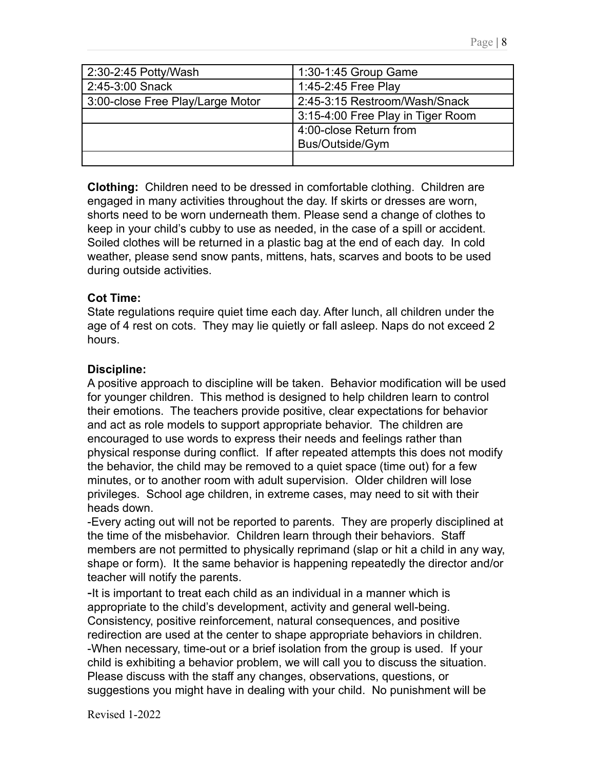| 2:30-2:45 Potty/Wash             | 1:30-1:45 Group Game              |
|----------------------------------|-----------------------------------|
| 2:45-3:00 Snack                  | 1:45-2:45 Free Play               |
| 3:00-close Free Play/Large Motor | 2:45-3:15 Restroom/Wash/Snack     |
|                                  | 3:15-4:00 Free Play in Tiger Room |
|                                  | 4:00-close Return from            |
|                                  | Bus/Outside/Gym                   |
|                                  |                                   |

**Clothing:** Children need to be dressed in comfortable clothing. Children are engaged in many activities throughout the day. If skirts or dresses are worn, shorts need to be worn underneath them. Please send a change of clothes to keep in your child's cubby to use as needed, in the case of a spill or accident. Soiled clothes will be returned in a plastic bag at the end of each day. In cold weather, please send snow pants, mittens, hats, scarves and boots to be used during outside activities.

### **Cot Time:**

State regulations require quiet time each day. After lunch, all children under the age of 4 rest on cots. They may lie quietly or fall asleep. Naps do not exceed 2 hours.

#### **Discipline:**

A positive approach to discipline will be taken. Behavior modification will be used for younger children. This method is designed to help children learn to control their emotions. The teachers provide positive, clear expectations for behavior and act as role models to support appropriate behavior. The children are encouraged to use words to express their needs and feelings rather than physical response during conflict. If after repeated attempts this does not modify the behavior, the child may be removed to a quiet space (time out) for a few minutes, or to another room with adult supervision. Older children will lose privileges. School age children, in extreme cases, may need to sit with their heads down.

-Every acting out will not be reported to parents. They are properly disciplined at the time of the misbehavior. Children learn through their behaviors. Staff members are not permitted to physically reprimand (slap or hit a child in any way, shape or form). It the same behavior is happening repeatedly the director and/or teacher will notify the parents.

-It is important to treat each child as an individual in a manner which is appropriate to the child's development, activity and general well-being. Consistency, positive reinforcement, natural consequences, and positive redirection are used at the center to shape appropriate behaviors in children. -When necessary, time-out or a brief isolation from the group is used. If your child is exhibiting a behavior problem, we will call you to discuss the situation. Please discuss with the staff any changes, observations, questions, or suggestions you might have in dealing with your child. No punishment will be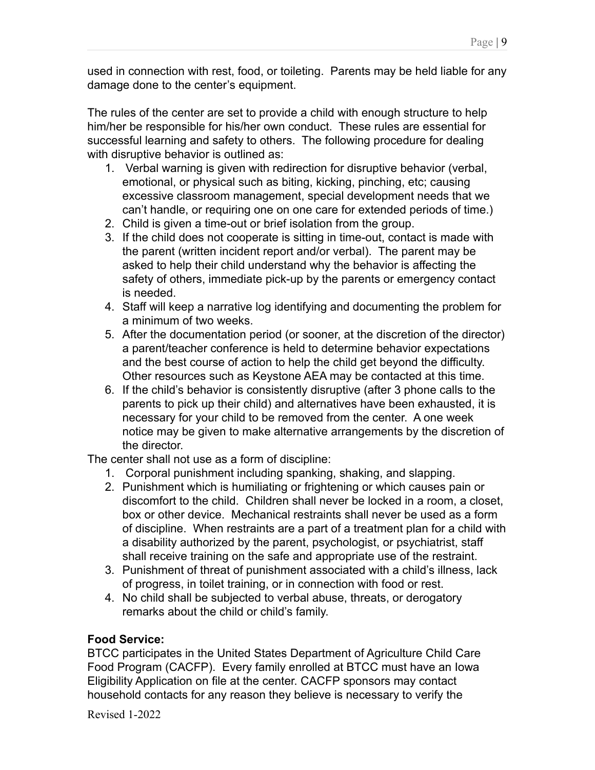used in connection with rest, food, or toileting. Parents may be held liable for any damage done to the center's equipment.

The rules of the center are set to provide a child with enough structure to help him/her be responsible for his/her own conduct. These rules are essential for successful learning and safety to others. The following procedure for dealing with disruptive behavior is outlined as:

- 1. Verbal warning is given with redirection for disruptive behavior (verbal, emotional, or physical such as biting, kicking, pinching, etc; causing excessive classroom management, special development needs that we can't handle, or requiring one on one care for extended periods of time.)
- 2. Child is given a time-out or brief isolation from the group.
- 3. If the child does not cooperate is sitting in time-out, contact is made with the parent (written incident report and/or verbal). The parent may be asked to help their child understand why the behavior is affecting the safety of others, immediate pick-up by the parents or emergency contact is needed.
- 4. Staff will keep a narrative log identifying and documenting the problem for a minimum of two weeks.
- 5. After the documentation period (or sooner, at the discretion of the director) a parent/teacher conference is held to determine behavior expectations and the best course of action to help the child get beyond the difficulty. Other resources such as Keystone AEA may be contacted at this time.
- 6. If the child's behavior is consistently disruptive (after 3 phone calls to the parents to pick up their child) and alternatives have been exhausted, it is necessary for your child to be removed from the center. A one week notice may be given to make alternative arrangements by the discretion of the director.

The center shall not use as a form of discipline:

- 1. Corporal punishment including spanking, shaking, and slapping.
- 2. Punishment which is humiliating or frightening or which causes pain or discomfort to the child. Children shall never be locked in a room, a closet, box or other device. Mechanical restraints shall never be used as a form of discipline. When restraints are a part of a treatment plan for a child with a disability authorized by the parent, psychologist, or psychiatrist, staff shall receive training on the safe and appropriate use of the restraint.
- 3. Punishment of threat of punishment associated with a child's illness, lack of progress, in toilet training, or in connection with food or rest.
- 4. No child shall be subjected to verbal abuse, threats, or derogatory remarks about the child or child's family.

### **Food Service:**

BTCC participates in the United States Department of Agriculture Child Care Food Program (CACFP). Every family enrolled at BTCC must have an Iowa Eligibility Application on file at the center. CACFP sponsors may contact household contacts for any reason they believe is necessary to verify the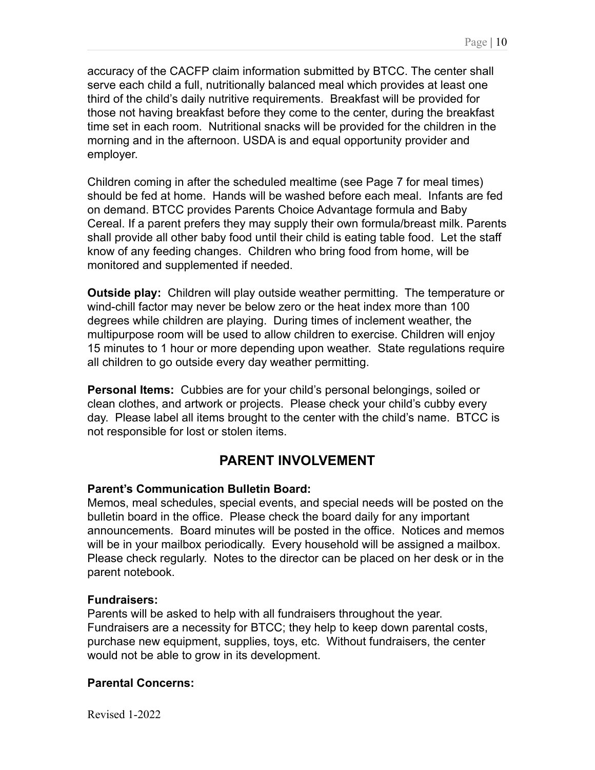accuracy of the CACFP claim information submitted by BTCC. The center shall serve each child a full, nutritionally balanced meal which provides at least one third of the child's daily nutritive requirements. Breakfast will be provided for those not having breakfast before they come to the center, during the breakfast time set in each room. Nutritional snacks will be provided for the children in the morning and in the afternoon. USDA is and equal opportunity provider and employer.

Children coming in after the scheduled mealtime (see Page 7 for meal times) should be fed at home. Hands will be washed before each meal. Infants are fed on demand. BTCC provides Parents Choice Advantage formula and Baby Cereal. If a parent prefers they may supply their own formula/breast milk. Parents shall provide all other baby food until their child is eating table food. Let the staff know of any feeding changes. Children who bring food from home, will be monitored and supplemented if needed.

**Outside play:** Children will play outside weather permitting. The temperature or wind-chill factor may never be below zero or the heat index more than 100 degrees while children are playing. During times of inclement weather, the multipurpose room will be used to allow children to exercise. Children will enjoy 15 minutes to 1 hour or more depending upon weather. State regulations require all children to go outside every day weather permitting.

**Personal Items:** Cubbies are for your child's personal belongings, soiled or clean clothes, and artwork or projects. Please check your child's cubby every day. Please label all items brought to the center with the child's name. BTCC is not responsible for lost or stolen items.

# **PARENT INVOLVEMENT**

# **Parent's Communication Bulletin Board:**

Memos, meal schedules, special events, and special needs will be posted on the bulletin board in the office. Please check the board daily for any important announcements. Board minutes will be posted in the office. Notices and memos will be in your mailbox periodically. Every household will be assigned a mailbox. Please check regularly. Notes to the director can be placed on her desk or in the parent notebook.

### **Fundraisers:**

Parents will be asked to help with all fundraisers throughout the year. Fundraisers are a necessity for BTCC; they help to keep down parental costs, purchase new equipment, supplies, toys, etc. Without fundraisers, the center would not be able to grow in its development.

### **Parental Concerns:**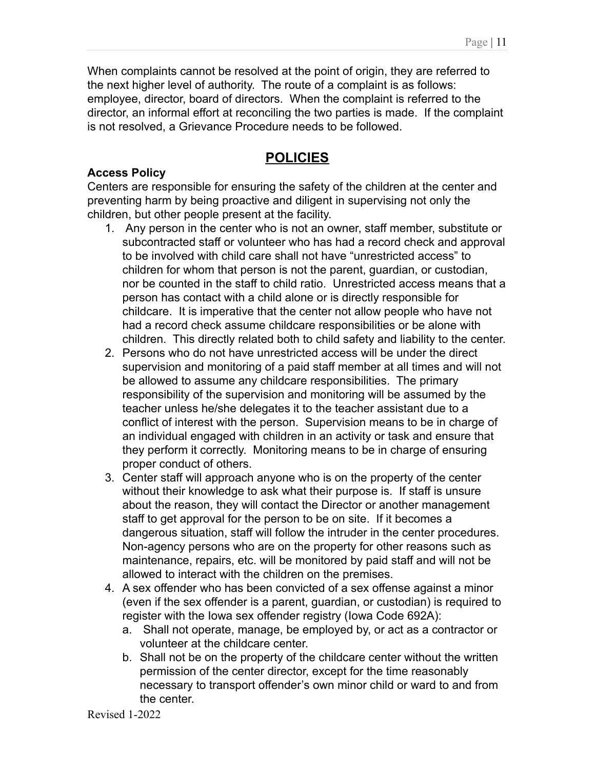When complaints cannot be resolved at the point of origin, they are referred to the next higher level of authority. The route of a complaint is as follows: employee, director, board of directors. When the complaint is referred to the director, an informal effort at reconciling the two parties is made. If the complaint is not resolved, a Grievance Procedure needs to be followed.

# **POLICIES**

## **Access Policy**

Centers are responsible for ensuring the safety of the children at the center and preventing harm by being proactive and diligent in supervising not only the children, but other people present at the facility.

- 1. Any person in the center who is not an owner, staff member, substitute or subcontracted staff or volunteer who has had a record check and approval to be involved with child care shall not have "unrestricted access" to children for whom that person is not the parent, guardian, or custodian, nor be counted in the staff to child ratio. Unrestricted access means that a person has contact with a child alone or is directly responsible for childcare. It is imperative that the center not allow people who have not had a record check assume childcare responsibilities or be alone with children. This directly related both to child safety and liability to the center.
- 2. Persons who do not have unrestricted access will be under the direct supervision and monitoring of a paid staff member at all times and will not be allowed to assume any childcare responsibilities. The primary responsibility of the supervision and monitoring will be assumed by the teacher unless he/she delegates it to the teacher assistant due to a conflict of interest with the person. Supervision means to be in charge of an individual engaged with children in an activity or task and ensure that they perform it correctly. Monitoring means to be in charge of ensuring proper conduct of others.
- 3. Center staff will approach anyone who is on the property of the center without their knowledge to ask what their purpose is. If staff is unsure about the reason, they will contact the Director or another management staff to get approval for the person to be on site. If it becomes a dangerous situation, staff will follow the intruder in the center procedures. Non-agency persons who are on the property for other reasons such as maintenance, repairs, etc. will be monitored by paid staff and will not be allowed to interact with the children on the premises.
- 4. A sex offender who has been convicted of a sex offense against a minor (even if the sex offender is a parent, guardian, or custodian) is required to register with the Iowa sex offender registry (Iowa Code 692A):
	- a. Shall not operate, manage, be employed by, or act as a contractor or volunteer at the childcare center.
	- b. Shall not be on the property of the childcare center without the written permission of the center director, except for the time reasonably necessary to transport offender's own minor child or ward to and from the center.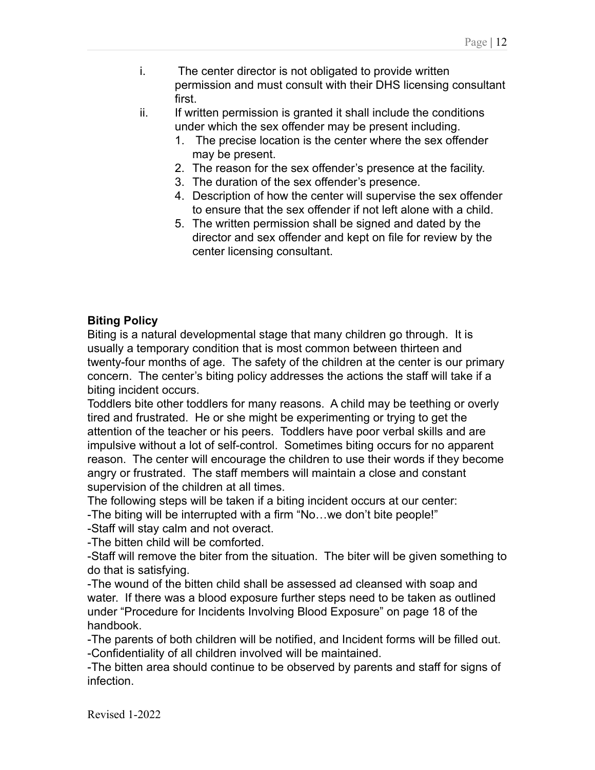- i. The center director is not obligated to provide written permission and must consult with their DHS licensing consultant first.
- ii. If written permission is granted it shall include the conditions under which the sex offender may be present including.
	- 1. The precise location is the center where the sex offender may be present.
	- 2. The reason for the sex offender's presence at the facility.
	- 3. The duration of the sex offender's presence.
	- 4. Description of how the center will supervise the sex offender to ensure that the sex offender if not left alone with a child.
	- 5. The written permission shall be signed and dated by the director and sex offender and kept on file for review by the center licensing consultant.

## **Biting Policy**

Biting is a natural developmental stage that many children go through. It is usually a temporary condition that is most common between thirteen and twenty-four months of age. The safety of the children at the center is our primary concern. The center's biting policy addresses the actions the staff will take if a biting incident occurs.

Toddlers bite other toddlers for many reasons. A child may be teething or overly tired and frustrated. He or she might be experimenting or trying to get the attention of the teacher or his peers. Toddlers have poor verbal skills and are impulsive without a lot of self-control. Sometimes biting occurs for no apparent reason. The center will encourage the children to use their words if they become angry or frustrated. The staff members will maintain a close and constant supervision of the children at all times.

The following steps will be taken if a biting incident occurs at our center:

-The biting will be interrupted with a firm "No…we don't bite people!"

-Staff will stay calm and not overact.

-The bitten child will be comforted.

-Staff will remove the biter from the situation. The biter will be given something to do that is satisfying.

-The wound of the bitten child shall be assessed ad cleansed with soap and water. If there was a blood exposure further steps need to be taken as outlined under "Procedure for Incidents Involving Blood Exposure" on page 18 of the handbook.

-The parents of both children will be notified, and Incident forms will be filled out. -Confidentiality of all children involved will be maintained.

-The bitten area should continue to be observed by parents and staff for signs of infection.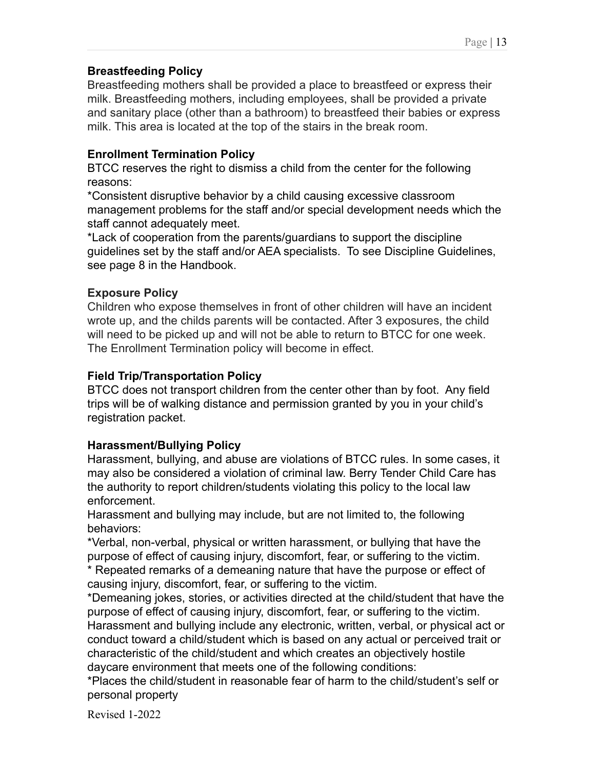Breastfeeding mothers shall be provided a place to breastfeed or express their milk. Breastfeeding mothers, including employees, shall be provided a private and sanitary place (other than a bathroom) to breastfeed their babies or express milk. This area is located at the top of the stairs in the break room.

# **Enrollment Termination Policy**

BTCC reserves the right to dismiss a child from the center for the following reasons:

\*Consistent disruptive behavior by a child causing excessive classroom management problems for the staff and/or special development needs which the staff cannot adequately meet.

\*Lack of cooperation from the parents/guardians to support the discipline guidelines set by the staff and/or AEA specialists. To see Discipline Guidelines, see page 8 in the Handbook.

# **Exposure Policy**

Children who expose themselves in front of other children will have an incident wrote up, and the childs parents will be contacted. After 3 exposures, the child will need to be picked up and will not be able to return to BTCC for one week. The Enrollment Termination policy will become in effect.

# **Field Trip/Transportation Policy**

BTCC does not transport children from the center other than by foot. Any field trips will be of walking distance and permission granted by you in your child's registration packet.

# **Harassment/Bullying Policy**

Harassment, bullying, and abuse are violations of BTCC rules. In some cases, it may also be considered a violation of criminal law. Berry Tender Child Care has the authority to report children/students violating this policy to the local law enforcement.

Harassment and bullying may include, but are not limited to, the following behaviors:

\*Verbal, non-verbal, physical or written harassment, or bullying that have the purpose of effect of causing injury, discomfort, fear, or suffering to the victim.

\* Repeated remarks of a demeaning nature that have the purpose or effect of causing injury, discomfort, fear, or suffering to the victim.

\*Demeaning jokes, stories, or activities directed at the child/student that have the purpose of effect of causing injury, discomfort, fear, or suffering to the victim. Harassment and bullying include any electronic, written, verbal, or physical act or conduct toward a child/student which is based on any actual or perceived trait or characteristic of the child/student and which creates an objectively hostile daycare environment that meets one of the following conditions:

\*Places the child/student in reasonable fear of harm to the child/student's self or personal property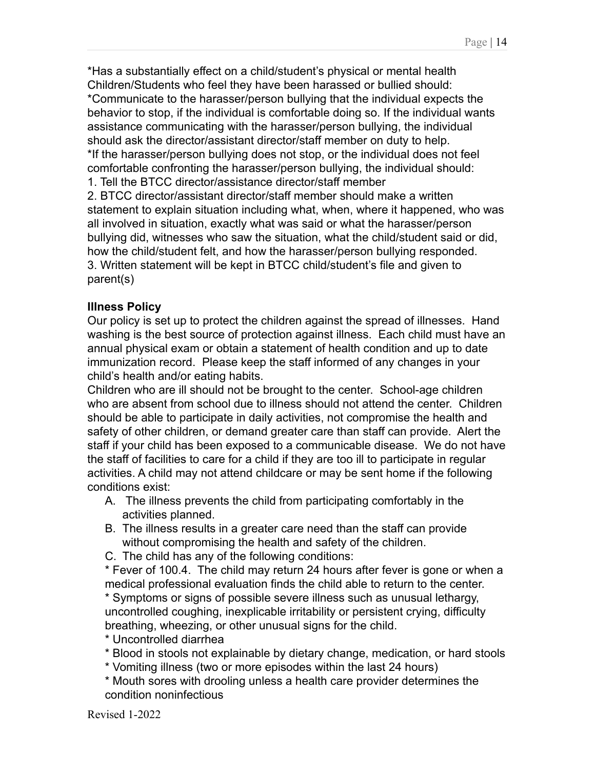\*Has a substantially effect on a child/student's physical or mental health Children/Students who feel they have been harassed or bullied should: \*Communicate to the harasser/person bullying that the individual expects the behavior to stop, if the individual is comfortable doing so. If the individual wants assistance communicating with the harasser/person bullying, the individual should ask the director/assistant director/staff member on duty to help. \*If the harasser/person bullying does not stop, or the individual does not feel comfortable confronting the harasser/person bullying, the individual should: 1. Tell the BTCC director/assistance director/staff member

2. BTCC director/assistant director/staff member should make a written statement to explain situation including what, when, where it happened, who was all involved in situation, exactly what was said or what the harasser/person bullying did, witnesses who saw the situation, what the child/student said or did, how the child/student felt, and how the harasser/person bullying responded. 3. Written statement will be kept in BTCC child/student's file and given to parent(s)

# **Illness Policy**

Our policy is set up to protect the children against the spread of illnesses. Hand washing is the best source of protection against illness. Each child must have an annual physical exam or obtain a statement of health condition and up to date immunization record. Please keep the staff informed of any changes in your child's health and/or eating habits.

Children who are ill should not be brought to the center. School-age children who are absent from school due to illness should not attend the center. Children should be able to participate in daily activities, not compromise the health and safety of other children, or demand greater care than staff can provide. Alert the staff if your child has been exposed to a communicable disease. We do not have the staff of facilities to care for a child if they are too ill to participate in regular activities. A child may not attend childcare or may be sent home if the following conditions exist:

- A. The illness prevents the child from participating comfortably in the activities planned.
- B. The illness results in a greater care need than the staff can provide without compromising the health and safety of the children.
- C. The child has any of the following conditions:

\* Fever of 100.4. The child may return 24 hours after fever is gone or when a medical professional evaluation finds the child able to return to the center.

\* Symptoms or signs of possible severe illness such as unusual lethargy, uncontrolled coughing, inexplicable irritability or persistent crying, difficulty breathing, wheezing, or other unusual signs for the child.

- \* Uncontrolled diarrhea
- \* Blood in stools not explainable by dietary change, medication, or hard stools
- \* Vomiting illness (two or more episodes within the last 24 hours)
- \* Mouth sores with drooling unless a health care provider determines the condition noninfectious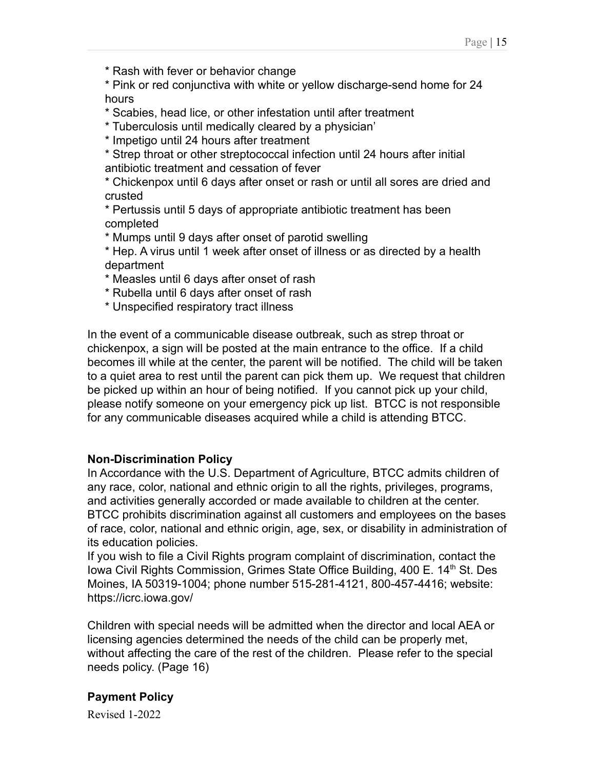\* Pink or red conjunctiva with white or yellow discharge-send home for 24 hours

- \* Scabies, head lice, or other infestation until after treatment
- \* Tuberculosis until medically cleared by a physician'
- \* Impetigo until 24 hours after treatment

\* Strep throat or other streptococcal infection until 24 hours after initial antibiotic treatment and cessation of fever

\* Chickenpox until 6 days after onset or rash or until all sores are dried and crusted

\* Pertussis until 5 days of appropriate antibiotic treatment has been completed

\* Mumps until 9 days after onset of parotid swelling

\* Hep. A virus until 1 week after onset of illness or as directed by a health department

- \* Measles until 6 days after onset of rash
- \* Rubella until 6 days after onset of rash
- \* Unspecified respiratory tract illness

In the event of a communicable disease outbreak, such as strep throat or chickenpox, a sign will be posted at the main entrance to the office. If a child becomes ill while at the center, the parent will be notified. The child will be taken to a quiet area to rest until the parent can pick them up. We request that children be picked up within an hour of being notified. If you cannot pick up your child, please notify someone on your emergency pick up list. BTCC is not responsible for any communicable diseases acquired while a child is attending BTCC.

# **Non-Discrimination Policy**

In Accordance with the U.S. Department of Agriculture, BTCC admits children of any race, color, national and ethnic origin to all the rights, privileges, programs, and activities generally accorded or made available to children at the center. BTCC prohibits discrimination against all customers and employees on the bases of race, color, national and ethnic origin, age, sex, or disability in administration of its education policies.

If you wish to file a Civil Rights program complaint of discrimination, contact the Iowa Civil Rights Commission, Grimes State Office Building, 400 E. 14<sup>th</sup> St. Des Moines, IA 50319-1004; phone number 515-281-4121, 800-457-4416; website: https://icrc.iowa.gov/

Children with special needs will be admitted when the director and local AEA or licensing agencies determined the needs of the child can be properly met, without affecting the care of the rest of the children. Please refer to the special needs policy. (Page 16)

# **Payment Policy**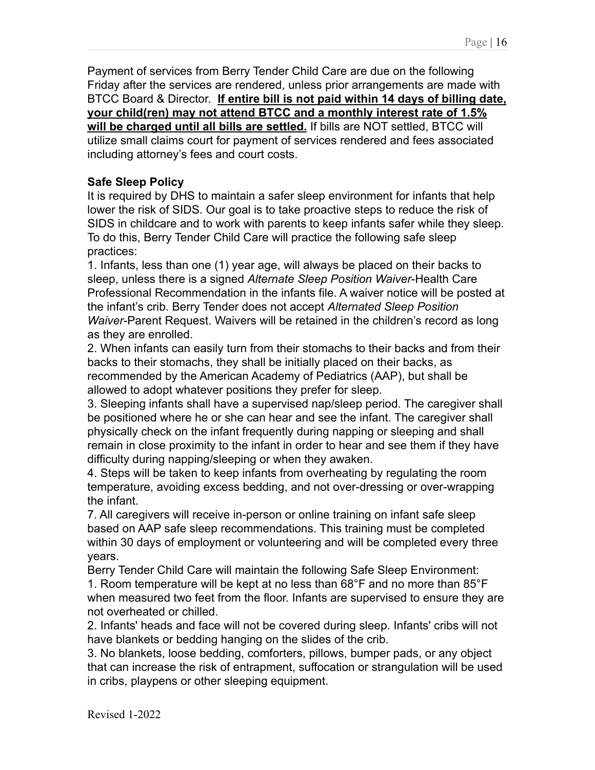Payment of services from Berry Tender Child Care are due on the following Friday after the services are rendered, unless prior arrangements are made with BTCC Board & Director. **If entire bill is not paid within 14 days of billing date, your child(ren) may not attend BTCC and a monthly interest rate of 1.5% will be charged until all bills are settled.** If bills are NOT settled, BTCC will utilize small claims court for payment of services rendered and fees associated including attorney's fees and court costs.

### **Safe Sleep Policy**

It is required by DHS to maintain a safer sleep environment for infants that help lower the risk of SIDS. Our goal is to take proactive steps to reduce the risk of SIDS in childcare and to work with parents to keep infants safer while they sleep. To do this, Berry Tender Child Care will practice the following safe sleep practices:

1. Infants, less than one (1) year age, will always be placed on their backs to sleep, unless there is a signed *Alternate Sleep Position Waiver*-Health Care Professional Recommendation in the infants file. A waiver notice will be posted at the infant's crib. Berry Tender does not accept *Alternated Sleep Position Waiver*-Parent Request. Waivers will be retained in the children's record as long as they are enrolled.

2. When infants can easily turn from their stomachs to their backs and from their backs to their stomachs, they shall be initially placed on their backs, as recommended by the American Academy of Pediatrics (AAP), but shall be allowed to adopt whatever positions they prefer for sleep.

3. Sleeping infants shall have a supervised nap/sleep period. The caregiver shall be positioned where he or she can hear and see the infant. The caregiver shall physically check on the infant frequently during napping or sleeping and shall remain in close proximity to the infant in order to hear and see them if they have difficulty during napping/sleeping or when they awaken.

4. Steps will be taken to keep infants from overheating by regulating the room temperature, avoiding excess bedding, and not over-dressing or over-wrapping the infant.

7. All caregivers will receive in-person or online training on infant safe sleep based on AAP safe sleep recommendations. This training must be completed within 30 days of employment or volunteering and will be completed every three years.

Berry Tender Child Care will maintain the following Safe Sleep Environment: 1. Room temperature will be kept at no less than 68°F and no more than 85°F when measured two feet from the floor. Infants are supervised to ensure they are not overheated or chilled.

2. Infants' heads and face will not be covered during sleep. Infants' cribs will not have blankets or bedding hanging on the slides of the crib.

3. No blankets, loose bedding, comforters, pillows, bumper pads, or any object that can increase the risk of entrapment, suffocation or strangulation will be used in cribs, playpens or other sleeping equipment.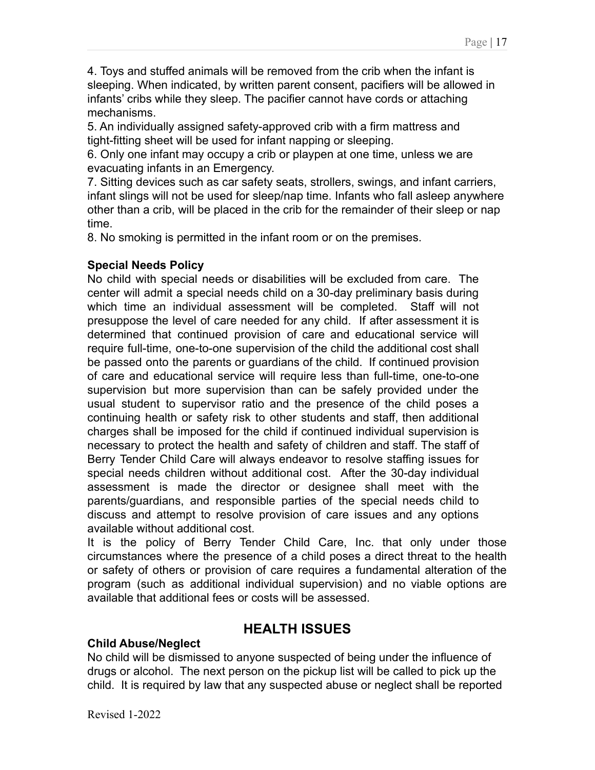4. Toys and stuffed animals will be removed from the crib when the infant is sleeping. When indicated, by written parent consent, pacifiers will be allowed in infants' cribs while they sleep. The pacifier cannot have cords or attaching mechanisms.

5. An individually assigned safety-approved crib with a firm mattress and tight-fitting sheet will be used for infant napping or sleeping.

6. Only one infant may occupy a crib or playpen at one time, unless we are evacuating infants in an Emergency.

7. Sitting devices such as car safety seats, strollers, swings, and infant carriers, infant slings will not be used for sleep/nap time. Infants who fall asleep anywhere other than a crib, will be placed in the crib for the remainder of their sleep or nap time.

8. No smoking is permitted in the infant room or on the premises.

## **Special Needs Policy**

No child with special needs or disabilities will be excluded from care. The center will admit a special needs child on a 30-day preliminary basis during which time an individual assessment will be completed. Staff will not presuppose the level of care needed for any child. If after assessment it is determined that continued provision of care and educational service will require full-time, one-to-one supervision of the child the additional cost shall be passed onto the parents or guardians of the child. If continued provision of care and educational service will require less than full-time, one-to-one supervision but more supervision than can be safely provided under the usual student to supervisor ratio and the presence of the child poses a continuing health or safety risk to other students and staff, then additional charges shall be imposed for the child if continued individual supervision is necessary to protect the health and safety of children and staff. The staff of Berry Tender Child Care will always endeavor to resolve staffing issues for special needs children without additional cost. After the 30-day individual assessment is made the director or designee shall meet with the parents/guardians, and responsible parties of the special needs child to discuss and attempt to resolve provision of care issues and any options available without additional cost.

It is the policy of Berry Tender Child Care, Inc. that only under those circumstances where the presence of a child poses a direct threat to the health or safety of others or provision of care requires a fundamental alteration of the program (such as additional individual supervision) and no viable options are available that additional fees or costs will be assessed.

# **HEALTH ISSUES**

# **Child Abuse/Neglect**

No child will be dismissed to anyone suspected of being under the influence of drugs or alcohol. The next person on the pickup list will be called to pick up the child. It is required by law that any suspected abuse or neglect shall be reported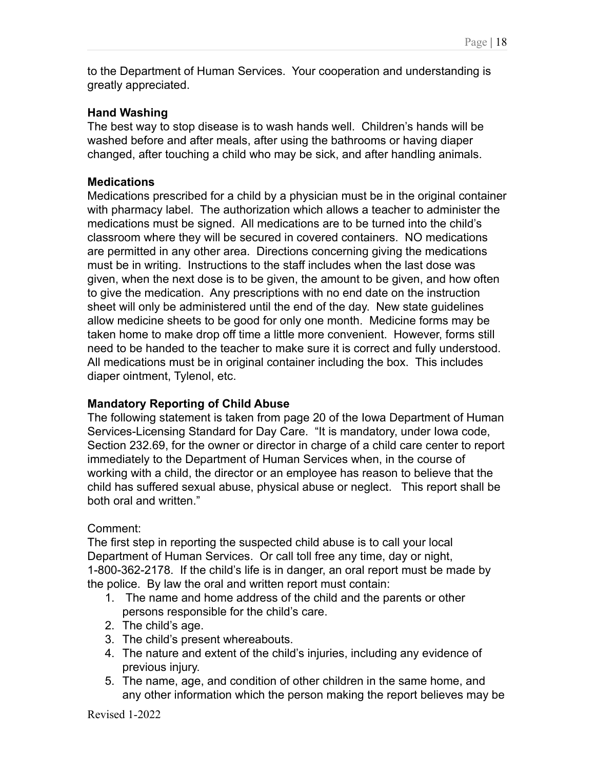to the Department of Human Services. Your cooperation and understanding is greatly appreciated.

## **Hand Washing**

The best way to stop disease is to wash hands well. Children's hands will be washed before and after meals, after using the bathrooms or having diaper changed, after touching a child who may be sick, and after handling animals.

### **Medications**

Medications prescribed for a child by a physician must be in the original container with pharmacy label. The authorization which allows a teacher to administer the medications must be signed. All medications are to be turned into the child's classroom where they will be secured in covered containers. NO medications are permitted in any other area. Directions concerning giving the medications must be in writing. Instructions to the staff includes when the last dose was given, when the next dose is to be given, the amount to be given, and how often to give the medication. Any prescriptions with no end date on the instruction sheet will only be administered until the end of the day. New state guidelines allow medicine sheets to be good for only one month. Medicine forms may be taken home to make drop off time a little more convenient. However, forms still need to be handed to the teacher to make sure it is correct and fully understood. All medications must be in original container including the box. This includes diaper ointment, Tylenol, etc.

# **Mandatory Reporting of Child Abuse**

The following statement is taken from page 20 of the Iowa Department of Human Services-Licensing Standard for Day Care. "It is mandatory, under Iowa code, Section 232.69, for the owner or director in charge of a child care center to report immediately to the Department of Human Services when, in the course of working with a child, the director or an employee has reason to believe that the child has suffered sexual abuse, physical abuse or neglect. This report shall be both oral and written."

# Comment:

The first step in reporting the suspected child abuse is to call your local Department of Human Services. Or call toll free any time, day or night, 1-800-362-2178. If the child's life is in danger, an oral report must be made by the police. By law the oral and written report must contain:

- 1. The name and home address of the child and the parents or other persons responsible for the child's care.
- 2. The child's age.
- 3. The child's present whereabouts.
- 4. The nature and extent of the child's injuries, including any evidence of previous injury.
- 5. The name, age, and condition of other children in the same home, and any other information which the person making the report believes may be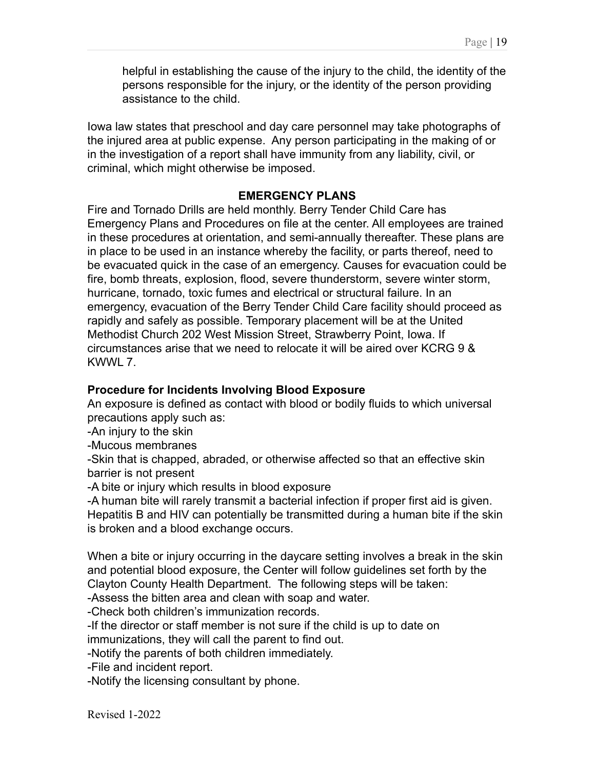helpful in establishing the cause of the injury to the child, the identity of the persons responsible for the injury, or the identity of the person providing assistance to the child.

Iowa law states that preschool and day care personnel may take photographs of the injured area at public expense. Any person participating in the making of or in the investigation of a report shall have immunity from any liability, civil, or criminal, which might otherwise be imposed.

#### **EMERGENCY PLANS**

Fire and Tornado Drills are held monthly. Berry Tender Child Care has Emergency Plans and Procedures on file at the center. All employees are trained in these procedures at orientation, and semi-annually thereafter. These plans are in place to be used in an instance whereby the facility, or parts thereof, need to be evacuated quick in the case of an emergency. Causes for evacuation could be fire, bomb threats, explosion, flood, severe thunderstorm, severe winter storm, hurricane, tornado, toxic fumes and electrical or structural failure. In an emergency, evacuation of the Berry Tender Child Care facility should proceed as rapidly and safely as possible. Temporary placement will be at the United Methodist Church 202 West Mission Street, Strawberry Point, Iowa. If circumstances arise that we need to relocate it will be aired over KCRG 9 & KWWL 7.

#### **Procedure for Incidents Involving Blood Exposure**

An exposure is defined as contact with blood or bodily fluids to which universal precautions apply such as:

-An injury to the skin

-Mucous membranes

-Skin that is chapped, abraded, or otherwise affected so that an effective skin barrier is not present

-A bite or injury which results in blood exposure

-A human bite will rarely transmit a bacterial infection if proper first aid is given. Hepatitis B and HIV can potentially be transmitted during a human bite if the skin is broken and a blood exchange occurs.

When a bite or injury occurring in the daycare setting involves a break in the skin and potential blood exposure, the Center will follow guidelines set forth by the Clayton County Health Department. The following steps will be taken:

-Assess the bitten area and clean with soap and water.

-Check both children's immunization records.

-If the director or staff member is not sure if the child is up to date on

immunizations, they will call the parent to find out.

-Notify the parents of both children immediately.

-File and incident report.

-Notify the licensing consultant by phone.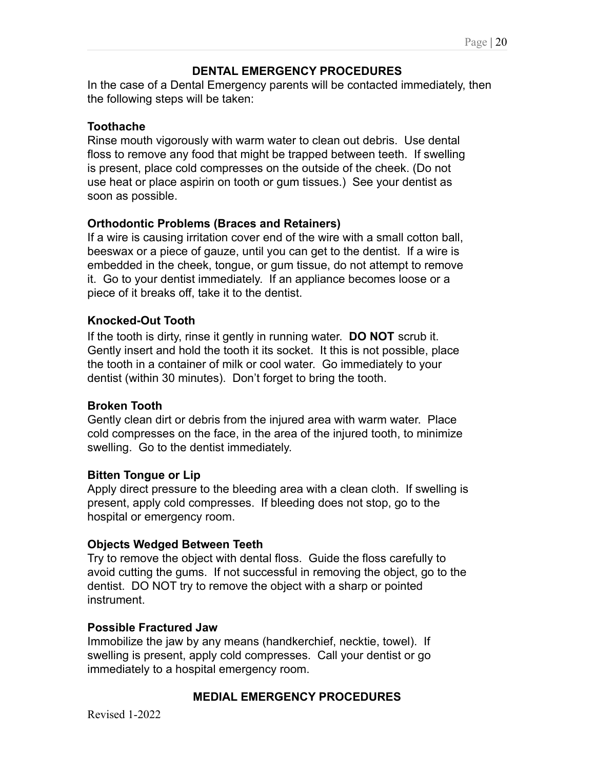## **DENTAL EMERGENCY PROCEDURES**

In the case of a Dental Emergency parents will be contacted immediately, then the following steps will be taken:

## **Toothache**

Rinse mouth vigorously with warm water to clean out debris. Use dental floss to remove any food that might be trapped between teeth. If swelling is present, place cold compresses on the outside of the cheek. (Do not use heat or place aspirin on tooth or gum tissues.) See your dentist as soon as possible.

## **Orthodontic Problems (Braces and Retainers)**

If a wire is causing irritation cover end of the wire with a small cotton ball, beeswax or a piece of gauze, until you can get to the dentist. If a wire is embedded in the cheek, tongue, or gum tissue, do not attempt to remove it. Go to your dentist immediately. If an appliance becomes loose or a piece of it breaks off, take it to the dentist.

## **Knocked-Out Tooth**

If the tooth is dirty, rinse it gently in running water. **DO NOT** scrub it. Gently insert and hold the tooth it its socket. It this is not possible, place the tooth in a container of milk or cool water. Go immediately to your dentist (within 30 minutes). Don't forget to bring the tooth.

### **Broken Tooth**

Gently clean dirt or debris from the injured area with warm water. Place cold compresses on the face, in the area of the injured tooth, to minimize swelling. Go to the dentist immediately.

### **Bitten Tongue or Lip**

Apply direct pressure to the bleeding area with a clean cloth. If swelling is present, apply cold compresses. If bleeding does not stop, go to the hospital or emergency room.

### **Objects Wedged Between Teeth**

Try to remove the object with dental floss. Guide the floss carefully to avoid cutting the gums. If not successful in removing the object, go to the dentist. DO NOT try to remove the object with a sharp or pointed instrument.

### **Possible Fractured Jaw**

Immobilize the jaw by any means (handkerchief, necktie, towel). If swelling is present, apply cold compresses. Call your dentist or go immediately to a hospital emergency room.

### **MEDIAL EMERGENCY PROCEDURES**